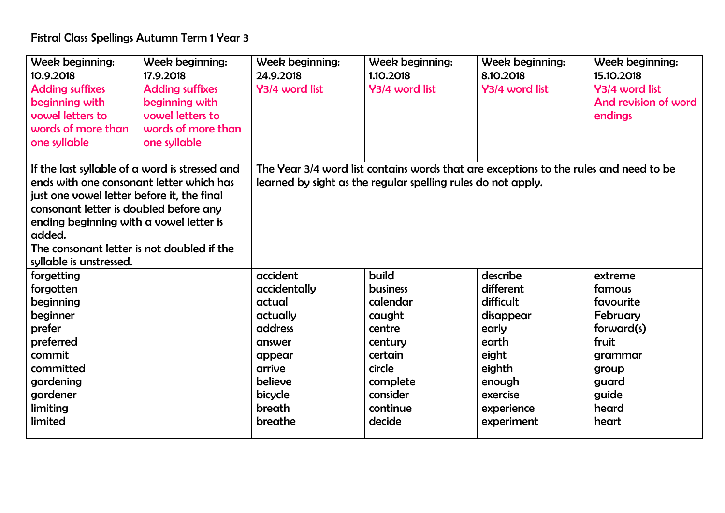## Fistral Class Spellings Autumn Term 1 Year 3

| Week beginning:                                | Week beginning:        | Week beginning:                                                                       | Week beginning: | Week beginning: | Week beginning:      |  |  |
|------------------------------------------------|------------------------|---------------------------------------------------------------------------------------|-----------------|-----------------|----------------------|--|--|
| 10.9.2018                                      | 17.9.2018              | 24.9.2018                                                                             | 1.10.2018       | 8.10.2018       | 15.10.2018           |  |  |
| <b>Adding suffixes</b>                         | <b>Adding suffixes</b> | Y3/4 word list                                                                        | Y3/4 word list  | Y3/4 word list  | Y3/4 word list       |  |  |
| beginning with                                 | beginning with         |                                                                                       |                 |                 | And revision of word |  |  |
| vowel letters to                               | vowel letters to       |                                                                                       |                 |                 | endings              |  |  |
| words of more than                             | words of more than     |                                                                                       |                 |                 |                      |  |  |
| one syllable                                   | one syllable           |                                                                                       |                 |                 |                      |  |  |
|                                                |                        |                                                                                       |                 |                 |                      |  |  |
| If the last syllable of a word is stressed and |                        | The Year 3/4 word list contains words that are exceptions to the rules and need to be |                 |                 |                      |  |  |
| ends with one consonant letter which has       |                        | learned by sight as the regular spelling rules do not apply.                          |                 |                 |                      |  |  |
| just one vowel letter before it, the final     |                        |                                                                                       |                 |                 |                      |  |  |
| consonant letter is doubled before any         |                        |                                                                                       |                 |                 |                      |  |  |
| ending beginning with a vowel letter is        |                        |                                                                                       |                 |                 |                      |  |  |
| added.                                         |                        |                                                                                       |                 |                 |                      |  |  |
| The consonant letter is not doubled if the     |                        |                                                                                       |                 |                 |                      |  |  |
| syllable is unstressed.                        |                        |                                                                                       |                 |                 |                      |  |  |
| forgetting                                     |                        | accident                                                                              | build           | describe        | extreme              |  |  |
| forgotten                                      |                        | accidentally                                                                          | <b>business</b> | different       | famous               |  |  |
| beginning                                      |                        | actual                                                                                | calendar        | difficult       | favourite            |  |  |
| beginner                                       |                        | actually                                                                              | caught          | disappear       | February             |  |  |
| prefer                                         |                        | address                                                                               | centre          | early           | forward(s)           |  |  |
| preferred                                      |                        | answer                                                                                | century         | earth           | fruit                |  |  |
| commit                                         |                        | appear                                                                                | certain         | eight           | grammar              |  |  |
| committed                                      |                        | arrive                                                                                | circle          | eighth          | group                |  |  |
| gardening                                      |                        | believe                                                                               | complete        | enough          | guard                |  |  |
| gardener                                       |                        | bicycle                                                                               | consider        | exercise        | guide                |  |  |
| limiting                                       |                        | breath                                                                                | continue        | experience      | heard                |  |  |
| limited                                        |                        | breathe                                                                               | decide          | experiment      | heart                |  |  |
|                                                |                        |                                                                                       |                 |                 |                      |  |  |